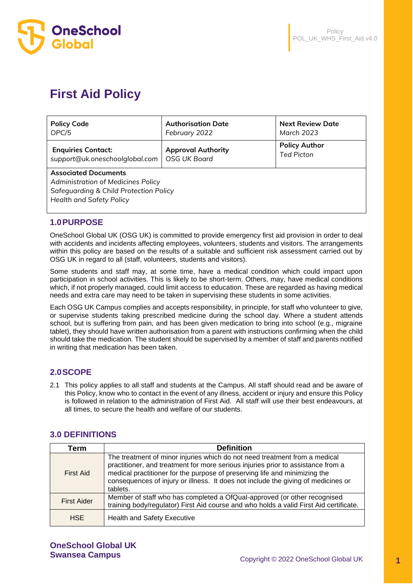

# **First Aid Policy**

| <b>Policy Code</b>                                                                                                                                        | <b>Authorisation Date</b> | <b>Next Review Date</b> |  |  |  |
|-----------------------------------------------------------------------------------------------------------------------------------------------------------|---------------------------|-------------------------|--|--|--|
| OPC/5                                                                                                                                                     | February 2022             | March 2023              |  |  |  |
| <b>Enquiries Contact:</b>                                                                                                                                 | <b>Approval Authority</b> | <b>Policy Author</b>    |  |  |  |
| support@uk.oneschoolglobal.com                                                                                                                            | <b>OSG UK Board</b>       | <b>Ted Picton</b>       |  |  |  |
| <b>Associated Documents</b><br>Administration of Medicines Policy<br><b>Safeguarding &amp; Child Protection Policy</b><br><b>Health and Safety Policy</b> |                           |                         |  |  |  |

# **1.0PURPOSE**

OneSchool Global UK (OSG UK) is committed to provide emergency first aid provision in order to deal with accidents and incidents affecting employees, volunteers, students and visitors. The arrangements within this policy are based on the results of a suitable and sufficient risk assessment carried out by OSG UK in regard to all (staff, volunteers, students and visitors).

Some students and staff may, at some time, have a medical condition which could impact upon participation in school activities. This is likely to be short-term. Others, may, have medical conditions which, if not properly managed, could limit access to education. These are regarded as having medical needs and extra care may need to be taken in supervising these students in some activities.

Each OSG UK Campus complies and accepts responsibility, in principle, for staff who volunteer to give, or supervise students taking prescribed medicine during the school day. Where a student attends school, but is suffering from pain, and has been given medication to bring into school (e.g., migraine tablet), they should have written authorisation from a parent with instructions confirming when the child should take the medication. The student should be supervised by a member of staff and parents notified in writing that medication has been taken.

# **2.0SCOPE**

2.1 This policy applies to all staff and students at the Campus. All staff should read and be aware of this Policy, know who to contact in the event of any illness, accident or injury and ensure this Policy is followed in relation to the administration of First Aid. All staff will use their best endeavours, at all times, to secure the health and welfare of our students.

# **3.0 DEFINITIONS**

| Term               | <b>Definition</b>                                                                                                                                                                                                                                                                                                                             |  |  |
|--------------------|-----------------------------------------------------------------------------------------------------------------------------------------------------------------------------------------------------------------------------------------------------------------------------------------------------------------------------------------------|--|--|
| <b>First Aid</b>   | The treatment of minor injuries which do not need treatment from a medical<br>practitioner, and treatment for more serious injuries prior to assistance from a<br>medical practitioner for the purpose of preserving life and minimizing the<br>consequences of injury or illness. It does not include the giving of medicines or<br>tablets. |  |  |
| <b>First Aider</b> | Member of staff who has completed a OfQual-approved (or other recognised<br>training body/regulator) First Aid course and who holds a valid First Aid certificate.                                                                                                                                                                            |  |  |
| <b>HSE</b>         | <b>Health and Safety Executive</b>                                                                                                                                                                                                                                                                                                            |  |  |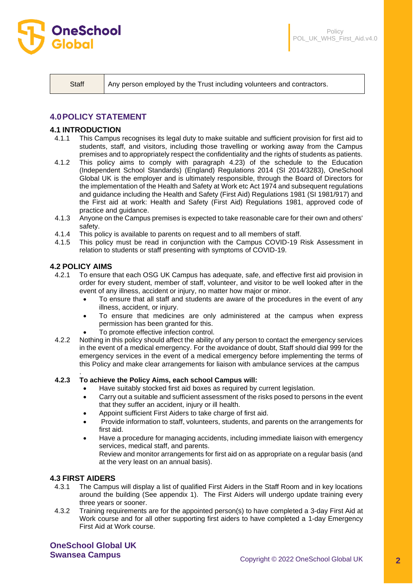

Staff Any person employed by the Trust including volunteers and contractors.

# **4.0POLICY STATEMENT**

#### **4.1 INTRODUCTION**

- 4.1.1 This Campus recognises its legal duty to make suitable and sufficient provision for first aid to students, staff, and visitors, including those travelling or working away from the Campus premises and to appropriately respect the confidentiality and the rights of students as patients.
- 4.1.2 This policy aims to comply with paragraph 4.23) of the schedule to the Education (Independent School Standards) (England) Regulations 2014 (SI 2014/3283), OneSchool Global UK is the employer and is ultimately responsible, through the Board of Directors for the implementation of the Health and Safety at Work etc Act 1974 and subsequent regulations and guidance including the Health and Safety (First Aid) Regulations 1981 (SI 1981/917) and the First aid at work: Health and Safety (First Aid) Regulations 1981, approved code of practice and guidance.
- 4.1.3 Anyone on the Campus premises is expected to take reasonable care for their own and others' safety.
- 4.1.4 This policy is available to parents on request and to all members of staff.
- 4.1.5 This policy must be read in conjunction with the Campus COVID-19 Risk Assessment in relation to students or staff presenting with symptoms of COVID-19.

#### **4.2 POLICY AIMS**

.

- 4.2.1 To ensure that each OSG UK Campus has adequate, safe, and effective first aid provision in order for every student, member of staff, volunteer, and visitor to be well looked after in the event of any illness, accident or injury, no matter how major or minor.
	- To ensure that all staff and students are aware of the procedures in the event of any illness, accident, or injury.
	- To ensure that medicines are only administered at the campus when express permission has been granted for this.
	- To promote effective infection control.
- 4.2.2 Nothing in this policy should affect the ability of any person to contact the emergency services in the event of a medical emergency. For the avoidance of doubt, Staff should dial 999 for the emergency services in the event of a medical emergency before implementing the terms of this Policy and make clear arrangements for liaison with ambulance services at the campus

#### **4.2.3 To achieve the Policy Aims, each school Campus will:**

- Have suitably stocked first aid boxes as required by current legislation.
- Carry out a suitable and sufficient assessment of the risks posed to persons in the event that they suffer an accident, injury or ill health.
- Appoint sufficient First Aiders to take charge of first aid.
- Provide information to staff, volunteers, students, and parents on the arrangements for first aid.
- Have a procedure for managing accidents, including immediate liaison with emergency services, medical staff, and parents.

Review and monitor arrangements for first aid on as appropriate on a regular basis (and at the very least on an annual basis).

#### **4.3 FIRST AIDERS**

- 4.3.1 The Campus will display a list of qualified First Aiders in the Staff Room and in key locations around the building (See appendix 1). The First Aiders will undergo update training every three years or sooner.
- 4.3.2 Training requirements are for the appointed person(s) to have completed a 3-day First Aid at Work course and for all other supporting first aiders to have completed a 1-day Emergency First Aid at Work course.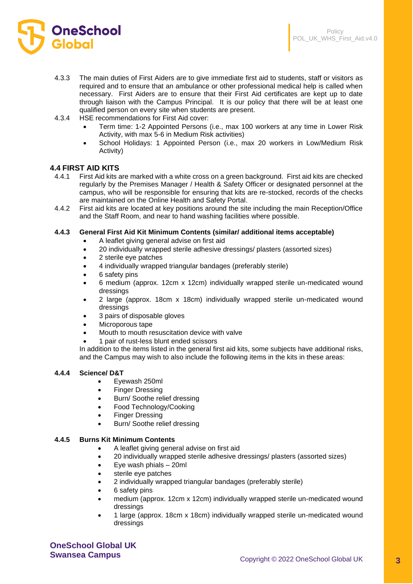

- 4.3.3 The main duties of First Aiders are to give immediate first aid to students, staff or visitors as required and to ensure that an ambulance or other professional medical help is called when necessary. First Aiders are to ensure that their First Aid certificates are kept up to date through liaison with the Campus Principal. It is our policy that there will be at least one qualified person on every site when students are present.
- 4.3.4 HSE recommendations for First Aid cover:
	- Term time: 1-2 Appointed Persons (i.e., max 100 workers at any time in Lower Risk Activity, with max 5-6 in Medium Risk activities)
	- School Holidays: 1 Appointed Person (i.e., max 20 workers in Low/Medium Risk Activity)

#### **4.4 FIRST AID KITS**

- 4.4.1 First Aid kits are marked with a white cross on a green background. First aid kits are checked regularly by the Premises Manager / Health & Safety Officer or designated personnel at the campus, who will be responsible for ensuring that kits are re-stocked, records of the checks are maintained on the Online Health and Safety Portal.
- 4.4.2 First aid kits are located at key positions around the site including the main Reception/Office and the Staff Room, and near to hand washing facilities where possible.

#### **4.4.3 General First Aid Kit Minimum Contents (similar/ additional items acceptable)**

- A leaflet giving general advise on first aid
- 20 individually wrapped sterile adhesive dressings/ plasters (assorted sizes)
- 2 sterile eye patches
- 4 individually wrapped triangular bandages (preferably sterile)
- 6 safety pins
- 6 medium (approx. 12cm x 12cm) individually wrapped sterile un-medicated wound dressings
- 2 large (approx. 18cm x 18cm) individually wrapped sterile un-medicated wound dressings
- 3 pairs of disposable gloves
- Microporous tape
- Mouth to mouth resuscitation device with valve
- 1 pair of rust-less blunt ended scissors

In addition to the items listed in the general first aid kits, some subjects have additional risks, and the Campus may wish to also include the following items in the kits in these areas:

#### **4.4.4 Science/ D&T**

- Eyewash 250ml
- Finger Dressing
- Burn/ Soothe relief dressing
- Food Technology/Cooking
- **Finger Dressing**
- Burn/ Soothe relief dressing

#### **4.4.5 Burns Kit Minimum Contents**

- A leaflet giving general advise on first aid
- 20 individually wrapped sterile adhesive dressings/ plasters (assorted sizes)
- Eye wash phials 20ml
- sterile eye patches
- 2 individually wrapped triangular bandages (preferably sterile)
- 6 safety pins
- medium (approx. 12cm x 12cm) individually wrapped sterile un-medicated wound dressings
- 1 large (approx. 18cm x 18cm) individually wrapped sterile un-medicated wound dressings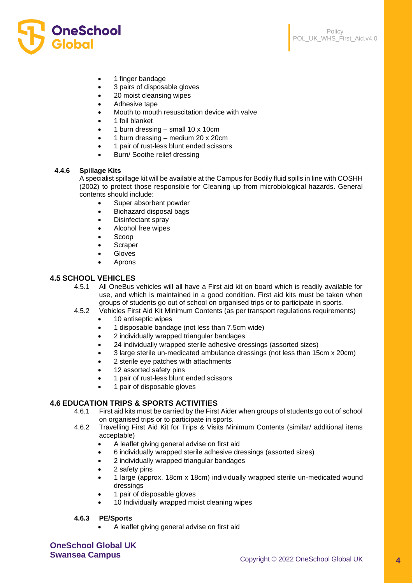



- 1 finger bandage
- 3 pairs of disposable gloves
- 20 moist cleansing wipes
- Adhesive tape
- Mouth to mouth resuscitation device with valve
- 1 foil blanket
- 1 burn dressing small 10 x 10cm
- 1 burn dressing medium 20 x 20cm
- 1 pair of rust-less blunt ended scissors
- Burn/ Soothe relief dressing

#### **4.4.6 Spillage Kits**

A specialist spillage kit will be available at the Campus for Bodily fluid spills in line with COSHH (2002) to protect those responsible for Cleaning up from microbiological hazards. General contents should include:

- Super absorbent powder
- Biohazard disposal bags
- Disinfectant spray
- Alcohol free wipes
- Scoop
- **Scraper**
- **Gloves**
- **Aprons**

## **4.5 SCHOOL VEHICLES**

- 4.5.1 All OneBus vehicles will all have a First aid kit on board which is readily available for use, and which is maintained in a good condition. First aid kits must be taken when groups of students go out of school on organised trips or to participate in sports.
- 4.5.2 Vehicles First Aid Kit Minimum Contents (as per transport regulations requirements)
	- 10 antiseptic wipes
	- 1 disposable bandage (not less than 7.5cm wide)
	- 2 individually wrapped triangular bandages
	- 24 individually wrapped sterile adhesive dressings (assorted sizes)
	- 3 large sterile un-medicated ambulance dressings (not less than 15cm x 20cm)
	- 2 sterile eye patches with attachments
	- 12 assorted safety pins
	- 1 pair of rust-less blunt ended scissors
	- 1 pair of disposable gloves

#### **4.6 EDUCATION TRIPS & SPORTS ACTIVITIES**

- 4.6.1 First aid kits must be carried by the First Aider when groups of students go out of school on organised trips or to participate in sports.
- 4.6.2 Travelling First Aid Kit for Trips & Visits Minimum Contents (similar/ additional items acceptable)
	- A leaflet giving general advise on first aid
	- 6 individually wrapped sterile adhesive dressings (assorted sizes)
	- 2 individually wrapped triangular bandages
	- 2 safety pins
	- 1 large (approx. 18cm x 18cm) individually wrapped sterile un-medicated wound dressings
	- 1 pair of disposable gloves
	- 10 Individually wrapped moist cleaning wipes

#### **4.6.3 PE/Sports**

• A leaflet giving general advise on first aid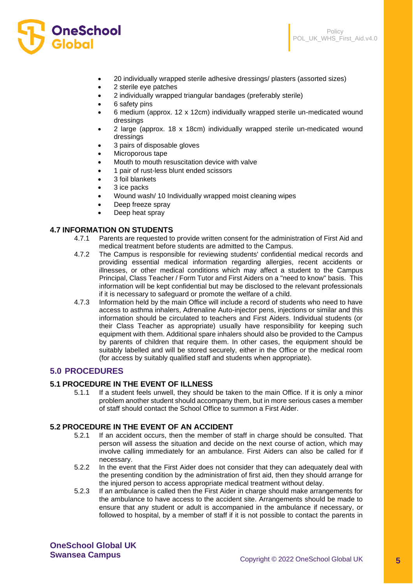

- 20 individually wrapped sterile adhesive dressings/ plasters (assorted sizes)
- 2 sterile eye patches
- 2 individually wrapped triangular bandages (preferably sterile)
- 6 safety pins

**OneSchool** 

Global

- 6 medium (approx. 12 x 12cm) individually wrapped sterile un-medicated wound dressings
- 2 large (approx. 18 x 18cm) individually wrapped sterile un-medicated wound dressings
- 3 pairs of disposable gloves
- Microporous tape
- Mouth to mouth resuscitation device with valve
- 1 pair of rust-less blunt ended scissors
- 3 foil blankets
- 3 ice packs
- Wound wash/ 10 Individually wrapped moist cleaning wipes
- Deep freeze spray
- Deep heat spray

#### **4.7 INFORMATION ON STUDENTS**

- 4.7.1 Parents are requested to provide written consent for the administration of First Aid and medical treatment before students are admitted to the Campus.
- 4.7.2 The Campus is responsible for reviewing students' confidential medical records and providing essential medical information regarding allergies, recent accidents or illnesses, or other medical conditions which may affect a student to the Campus Principal, Class Teacher / Form Tutor and First Aiders on a "need to know" basis. This information will be kept confidential but may be disclosed to the relevant professionals if it is necessary to safeguard or promote the welfare of a child.
- 4.7.3 Information held by the main Office will include a record of students who need to have access to asthma inhalers, Adrenaline Auto-injector pens, injections or similar and this information should be circulated to teachers and First Aiders. Individual students (or their Class Teacher as appropriate) usually have responsibility for keeping such equipment with them. Additional spare inhalers should also be provided to the Campus by parents of children that require them. In other cases, the equipment should be suitably labelled and will be stored securely, either in the Office or the medical room (for access by suitably qualified staff and students when appropriate).

## **5.0 PROCEDURES**

#### **5.1 PROCEDURE IN THE EVENT OF ILLNESS**

5.1.1 If a student feels unwell, they should be taken to the main Office. If it is only a minor problem another student should accompany them, but in more serious cases a member of staff should contact the School Office to summon a First Aider.

#### **5.2 PROCEDURE IN THE EVENT OF AN ACCIDENT**

- 5.2.1 If an accident occurs, then the member of staff in charge should be consulted. That person will assess the situation and decide on the next course of action, which may involve calling immediately for an ambulance. First Aiders can also be called for if necessary.
- 5.2.2 In the event that the First Aider does not consider that they can adequately deal with the presenting condition by the administration of first aid, then they should arrange for the injured person to access appropriate medical treatment without delay.
- 5.2.3 If an ambulance is called then the First Aider in charge should make arrangements for the ambulance to have access to the accident site. Arrangements should be made to ensure that any student or adult is accompanied in the ambulance if necessary, or followed to hospital, by a member of staff if it is not possible to contact the parents in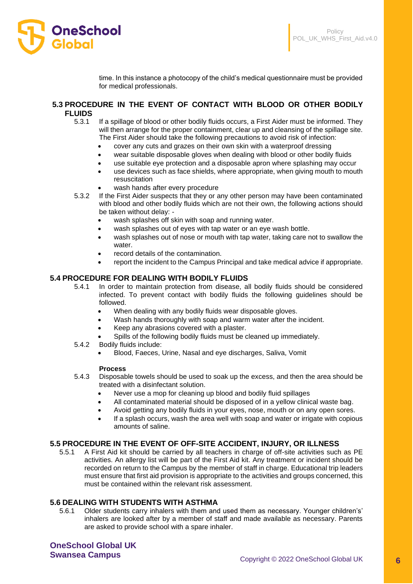

time. In this instance a photocopy of the child's medical questionnaire must be provided for medical professionals.

#### **5.3 PROCEDURE IN THE EVENT OF CONTACT WITH BLOOD OR OTHER BODILY FLUIDS**

- 5.3.1 If a spillage of blood or other bodily fluids occurs, a First Aider must be informed. They will then arrange for the proper containment, clear up and cleansing of the spillage site. The First Aider should take the following precautions to avoid risk of infection:
	- cover any cuts and grazes on their own skin with a waterproof dressing
	- wear suitable disposable gloves when dealing with blood or other bodily fluids
	- use suitable eye protection and a disposable apron where splashing may occur
	- use devices such as face shields, where appropriate, when giving mouth to mouth resuscitation
	- wash hands after every procedure
- 5.3.2 If the First Aider suspects that they or any other person may have been contaminated with blood and other bodily fluids which are not their own, the following actions should be taken without delay: -
	- wash splashes off skin with soap and running water.
	- wash splashes out of eyes with tap water or an eye wash bottle.
	- wash splashes out of nose or mouth with tap water, taking care not to swallow the water
	- record details of the contamination.
	- report the incident to the Campus Principal and take medical advice if appropriate.

#### **5.4 PROCEDURE FOR DEALING WITH BODILY FLUIDS**

- 5.4.1 In order to maintain protection from disease, all bodily fluids should be considered infected. To prevent contact with bodily fluids the following guidelines should be followed.
	- When dealing with any bodily fluids wear disposable gloves.
	- Wash hands thoroughly with soap and warm water after the incident.
	- Keep any abrasions covered with a plaster.
	- Spills of the following bodily fluids must be cleaned up immediately.
- 5.4.2 Bodily fluids include:
	- Blood, Faeces, Urine, Nasal and eye discharges, Saliva, Vomit

#### **Process**

- 5.4.3 Disposable towels should be used to soak up the excess, and then the area should be treated with a disinfectant solution.
	- Never use a mop for cleaning up blood and bodily fluid spillages
	- All contaminated material should be disposed of in a yellow clinical waste bag.
	- Avoid getting any bodily fluids in your eyes, nose, mouth or on any open sores.
	- If a splash occurs, wash the area well with soap and water or irrigate with copious amounts of saline.

#### **5.5 PROCEDURE IN THE EVENT OF OFF-SITE ACCIDENT, INJURY, OR ILLNESS**

5.5.1 A First Aid kit should be carried by all teachers in charge of off-site activities such as PE activities. An allergy list will be part of the First Aid kit. Any treatment or incident should be recorded on return to the Campus by the member of staff in charge. Educational trip leaders must ensure that first aid provision is appropriate to the activities and groups concerned, this must be contained within the relevant risk assessment.

#### **5.6 DEALING WITH STUDENTS WITH ASTHMA**

5.6.1 Older students carry inhalers with them and used them as necessary. Younger children's' inhalers are looked after by a member of staff and made available as necessary. Parents are asked to provide school with a spare inhaler.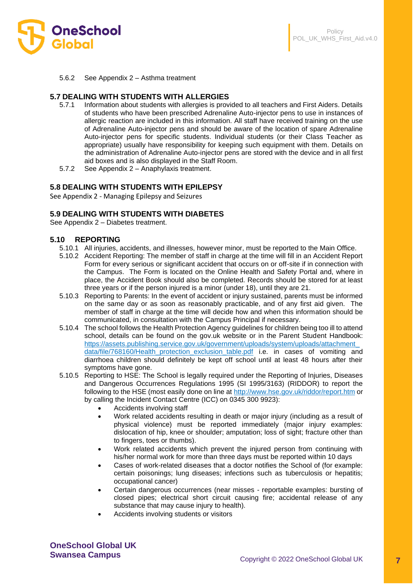

5.6.2 See Appendix 2 – Asthma treatment

#### **5.7 DEALING WITH STUDENTS WITH ALLERGIES**

- 5.7.1 Information about students with allergies is provided to all teachers and First Aiders. Details of students who have been prescribed Adrenaline Auto-injector pens to use in instances of allergic reaction are included in this information. All staff have received training on the use of Adrenaline Auto-injector pens and should be aware of the location of spare Adrenaline Auto-injector pens for specific students. Individual students (or their Class Teacher as appropriate) usually have responsibility for keeping such equipment with them. Details on the administration of Adrenaline Auto-injector pens are stored with the device and in all first aid boxes and is also displayed in the Staff Room.
- 5.7.2 See Appendix 2 Anaphylaxis treatment.

#### **5.8 DEALING WITH STUDENTS WITH EPILEPSY**

See Appendix 2 - Managing Epilepsy and Seizures

#### **5.9 DEALING WITH STUDENTS WITH DIABETES**

See Appendix 2 – Diabetes treatment.

#### **5.10 REPORTING**

- 5.10.1 All injuries, accidents, and illnesses, however minor, must be reported to the Main Office.
- 5.10.2 Accident Reporting: The member of staff in charge at the time will fill in an Accident Report Form for every serious or significant accident that occurs on or off-site if in connection with the Campus. The Form is located on the Online Health and Safety Portal and, where in place, the Accident Book should also be completed. Records should be stored for at least three years or if the person injured is a minor (under 18), until they are 21.
- 5.10.3 Reporting to Parents: In the event of accident or injury sustained, parents must be informed on the same day or as soon as reasonably practicable, and of any first aid given. The member of staff in charge at the time will decide how and when this information should be communicated, in consultation with the Campus Principal if necessary.
- 5.10.4 The school follows the Health Protection Agency guidelines for children being too ill to attend school, details can be found on the gov.uk website or in the Parent Student Handbook: [https://assets.publishing.service.gov.uk/government/uploads/system/uploads/attachment\\_](https://assets.publishing.service.gov.uk/government/uploads/system/uploads/attachment_data/file/768160/Health_protection_exclusion_table.pdf) [data/file/768160/Health\\_protection\\_exclusion\\_table.pdf](https://assets.publishing.service.gov.uk/government/uploads/system/uploads/attachment_data/file/768160/Health_protection_exclusion_table.pdf) i.e. in cases of vomiting and diarrhoea children should definitely be kept off school until at least 48 hours after their symptoms have gone.
- 5.10.5 Reporting to HSE: The School is legally required under the Reporting of Injuries, Diseases and Dangerous Occurrences Regulations 1995 (SI 1995/3163) (RIDDOR) to report the following to the HSE (most easily done on line at<http://www.hse.gov.uk/riddor/report.htm> or by calling the Incident Contact Centre (ICC) on 0345 300 9923):
	- Accidents involving staff
	- Work related accidents resulting in death or major injury (including as a result of physical violence) must be reported immediately (major injury examples: dislocation of hip, knee or shoulder; amputation; loss of sight; fracture other than to fingers, toes or thumbs).
	- Work related accidents which prevent the injured person from continuing with his/her normal work for more than three days must be reported within 10 days
	- Cases of work-related diseases that a doctor notifies the School of (for example: certain poisonings; lung diseases; infections such as tuberculosis or hepatitis; occupational cancer)
	- Certain dangerous occurrences (near misses reportable examples: bursting of closed pipes; electrical short circuit causing fire; accidental release of any substance that may cause injury to health).
	- Accidents involving students or visitors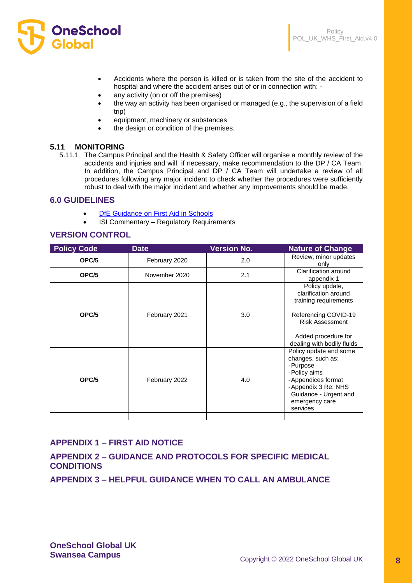

- Accidents where the person is killed or is taken from the site of the accident to hospital and where the accident arises out of or in connection with: -
- any activity (on or off the premises)
- the way an activity has been organised or managed (e.g., the supervision of a field trip)
- equipment, machinery or substances
- the design or condition of the premises.

#### **5.11 MONITORING**

5.11.1 The Campus Principal and the Health & Safety Officer will organise a monthly review of the accidents and injuries and will, if necessary, make recommendation to the DP / CA Team. In addition, the Campus Principal and DP / CA Team will undertake a review of all procedures following any major incident to check whether the procedures were sufficiently robust to deal with the major incident and whether any improvements should be made.

### **6.0 GUIDELINES**

- **[DfE Guidance on First Aid in Schools](https://assets.publishing.service.gov.uk/government/uploads/system/uploads/attachment_data/file/306370/guidance_on_first_aid_for_schools.pdf)**
- ISI Commentary Regulatory Requirements

## **VERSION CONTROL**

| <b>Policy Code</b> | <b>Date</b>   | <b>Version No.</b> | <b>Nature of Change</b>                                                                                                                                                     |
|--------------------|---------------|--------------------|-----------------------------------------------------------------------------------------------------------------------------------------------------------------------------|
| OPC/5              | February 2020 | 2.0                | Review, minor updates<br>only                                                                                                                                               |
| OPC/5              | November 2020 | 2.1                | Clarification around<br>appendix 1                                                                                                                                          |
| OPC/5              | February 2021 | 3.0                | Policy update,<br>clarification around<br>training requirements<br>Referencing COVID-19<br><b>Risk Assessment</b><br>Added procedure for<br>dealing with bodily fluids      |
| OPC/5              | February 2022 | 4.0                | Policy update and some<br>changes, such as:<br>-Purpose<br>-Policy aims<br>-Appendices format<br>-Appendix 3 Re: NHS<br>Guidance - Urgent and<br>emergency care<br>services |
|                    |               |                    |                                                                                                                                                                             |

# **APPENDIX 1 – FIRST AID NOTICE**

**APPENDIX 2 – GUIDANCE AND PROTOCOLS FOR SPECIFIC MEDICAL CONDITIONS**

**APPENDIX 3 – HELPFUL GUIDANCE WHEN TO CALL AN AMBULANCE**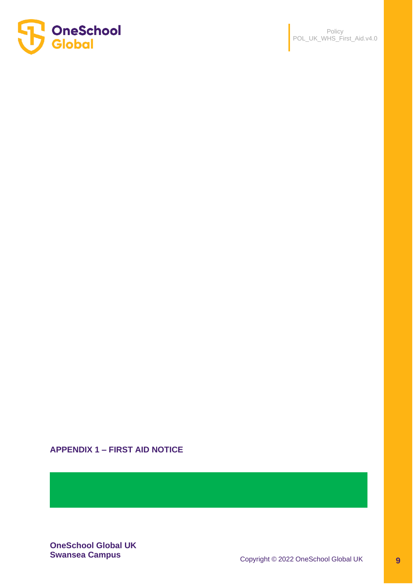

# **APPENDIX 1 – FIRST AID NOTICE**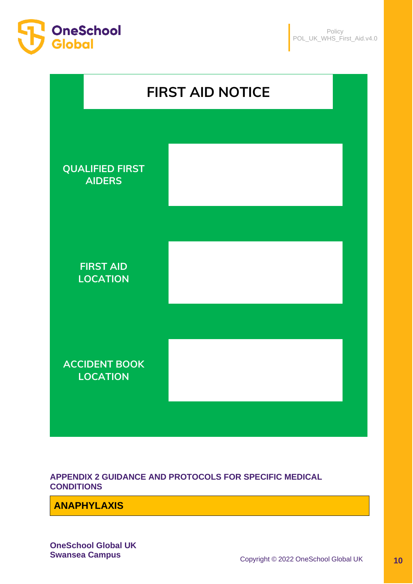



**APPENDIX 2 GUIDANCE AND PROTOCOLS FOR SPECIFIC MEDICAL CONDITIONS**

**ANAPHYLAXIS**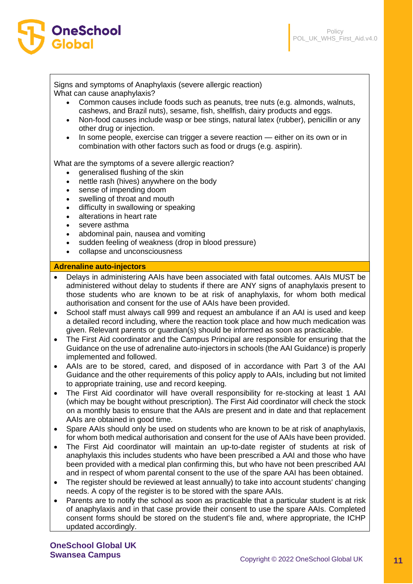

Signs and symptoms of Anaphylaxis (severe allergic reaction) What can cause anaphylaxis?

- Common causes include foods such as peanuts, tree nuts (e.g. almonds, walnuts, cashews, and Brazil nuts), sesame, fish, shellfish, dairy products and eggs.
- Non-food causes include wasp or bee stings, natural latex (rubber), penicillin or any other drug or injection.
- In some people, exercise can trigger a severe reaction either on its own or in combination with other factors such as food or drugs (e.g. aspirin).

What are the symptoms of a severe allergic reaction?

- generalised flushing of the skin
- nettle rash (hives) anywhere on the body
- sense of impending doom
- swelling of throat and mouth
- difficulty in swallowing or speaking
- alterations in heart rate
- severe asthma

OneSchool

Global

- abdominal pain, nausea and vomiting
- sudden feeling of weakness (drop in blood pressure)
- collapse and unconsciousness

#### **Adrenaline auto-injectors**

- Delays in administering AAIs have been associated with fatal outcomes. AAIs MUST be administered without delay to students if there are ANY signs of anaphylaxis present to those students who are known to be at risk of anaphylaxis, for whom both medical authorisation and consent for the use of AAIs have been provided.
- School staff must always call 999 and request an ambulance if an AAI is used and keep a detailed record including, where the reaction took place and how much medication was given. Relevant parents or guardian(s) should be informed as soon as practicable.
- The First Aid coordinator and the Campus Principal are responsible for ensuring that the Guidance on the use of adrenaline auto-injectors in schools (the AAI Guidance) is properly implemented and followed.
- AAIs are to be stored, cared, and disposed of in accordance with Part 3 of the AAI Guidance and the other requirements of this policy apply to AAIs, including but not limited to appropriate training, use and record keeping.
- The First Aid coordinator will have overall responsibility for re-stocking at least 1 AAI (which may be bought without prescription). The First Aid coordinator will check the stock on a monthly basis to ensure that the AAIs are present and in date and that replacement AAIs are obtained in good time.
- Spare AAIs should only be used on students who are known to be at risk of anaphylaxis, for whom both medical authorisation and consent for the use of AAIs have been provided.
- The First Aid coordinator will maintain an up-to-date register of students at risk of anaphylaxis this includes students who have been prescribed a AAI and those who have been provided with a medical plan confirming this, but who have not been prescribed AAI and in respect of whom parental consent to the use of the spare AAI has been obtained.
- The register should be reviewed at least annually) to take into account students' changing needs. A copy of the register is to be stored with the spare AAIs.
- Parents are to notify the school as soon as practicable that a particular student is at risk of anaphylaxis and in that case provide their consent to use the spare AAIs. Completed consent forms should be stored on the student's file and, where appropriate, the ICHP updated accordingly.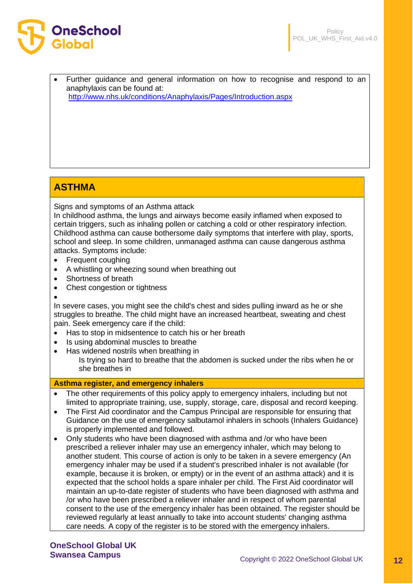



• Further guidance and general information on how to recognise and respond to an anaphylaxis can be found at:

<http://www.nhs.uk/conditions/Anaphylaxis/Pages/Introduction.aspx>

# **ASTHMA**

Signs and symptoms of an Asthma attack

In childhood asthma, the lungs and airways become easily inflamed when exposed to certain triggers, such as inhaling pollen or catching a cold or other respiratory infection. Childhood asthma can cause bothersome daily symptoms that interfere with play, sports, school and sleep. In some children, unmanaged asthma can cause dangerous asthma attacks. Symptoms include:

- Frequent coughing
- A whistling or wheezing sound when breathing out
- Shortness of breath
- Chest congestion or tightness
- •

In severe cases, you might see the child's chest and sides pulling inward as he or she struggles to breathe. The child might have an increased heartbeat, sweating and chest pain. Seek emergency care if the child:

- Has to stop in midsentence to catch his or her breath
- Is using abdominal muscles to breathe
- Has widened nostrils when breathing in Is trying so hard to breathe that the abdomen is sucked under the ribs when he or she breathes in

# **Asthma register, and emergency inhalers**

- The other requirements of this policy apply to emergency inhalers, including but not limited to appropriate training, use, supply, storage, care, disposal and record keeping.
- The First Aid coordinator and the Campus Principal are responsible for ensuring that Guidance on the use of emergency salbutamol inhalers in schools (Inhalers Guidance) is properly implemented and followed.
- Only students who have been diagnosed with asthma and /or who have been prescribed a reliever inhaler may use an emergency inhaler, which may belong to another student. This course of action is only to be taken in a severe emergency (An emergency inhaler may be used if a student's prescribed inhaler is not available (for example, because it is broken, or empty) or in the event of an asthma attack) and it is expected that the school holds a spare inhaler per child. The First Aid coordinator will maintain an up-to-date register of students who have been diagnosed with asthma and /or who have been prescribed a reliever inhaler and in respect of whom parental consent to the use of the emergency inhaler has been obtained. The register should be reviewed regularly at least annually to take into account students' changing asthma care needs. A copy of the register is to be stored with the emergency inhalers.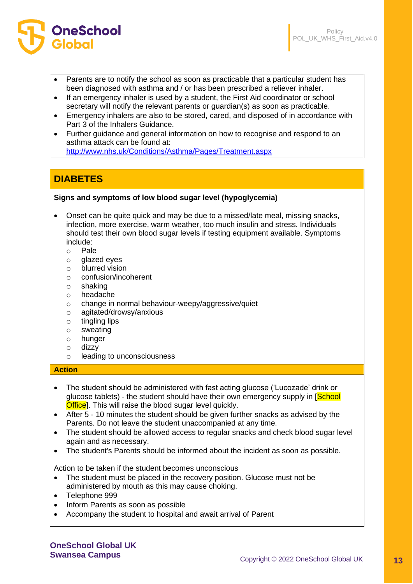

- Parents are to notify the school as soon as practicable that a particular student has been diagnosed with asthma and / or has been prescribed a reliever inhaler.
- If an emergency inhaler is used by a student, the First Aid coordinator or school secretary will notify the relevant parents or guardian(s) as soon as practicable.
- Emergency inhalers are also to be stored, cared, and disposed of in accordance with Part 3 of the Inhalers Guidance.
- Further guidance and general information on how to recognise and respond to an asthma attack can be found at:

<http://www.nhs.uk/Conditions/Asthma/Pages/Treatment.aspx>

# **DIABETES**

# **Signs and symptoms of low blood sugar level (hypoglycemia)**

- Onset can be quite quick and may be due to a missed/late meal, missing snacks, infection, more exercise, warm weather, too much insulin and stress. Individuals should test their own blood sugar levels if testing equipment available. Symptoms include:
	- o Pale
	- o glazed eyes
	- o blurred vision
	- o confusion/incoherent
	- o shaking
	- o headache
	- o change in normal behaviour-weepy/aggressive/quiet
	- o agitated/drowsy/anxious
	- $\circ$  tingling lips
	- o sweating
	- o hunger
	- o dizzy
	- o leading to unconsciousness

#### **Action**

- The student should be administered with fast acting glucose ('Lucozade' drink or glucose tablets) - the student should have their own emergency supply in [School] Office]. This will raise the blood sugar level quickly.
- After 5 10 minutes the student should be given further snacks as advised by the Parents. Do not leave the student unaccompanied at any time.
- The student should be allowed access to regular snacks and check blood sugar level again and as necessary.
- The student's Parents should be informed about the incident as soon as possible.

Action to be taken if the student becomes unconscious

- The student must be placed in the recovery position. Glucose must not be administered by mouth as this may cause choking.
- Telephone 999
- Inform Parents as soon as possible
- Accompany the student to hospital and await arrival of Parent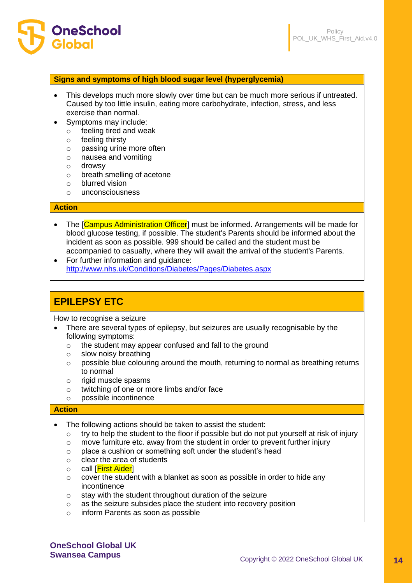

#### **Signs and symptoms of high blood sugar level (hyperglycemia)**

- This develops much more slowly over time but can be much more serious if untreated. Caused by too little insulin, eating more carbohydrate, infection, stress, and less exercise than normal.
- Symptoms may include:
	- o feeling tired and weak
	- o feeling thirsty
	- o passing urine more often
	- o nausea and vomiting
	- o drowsy
	- o breath smelling of acetone
	- o blurred vision
	- o unconsciousness

#### **Action**

- The [Campus Administration Officer] must be informed. Arrangements will be made for blood glucose testing, if possible. The student's Parents should be informed about the incident as soon as possible. 999 should be called and the student must be accompanied to casualty, where they will await the arrival of the student's Parents.
- For further information and guidance: <http://www.nhs.uk/Conditions/Diabetes/Pages/Diabetes.aspx>

# **EPILEPSY ETC**

How to recognise a seizure

- There are several types of epilepsy, but seizures are usually recognisable by the following symptoms:
	- o the student may appear confused and fall to the ground
	- o slow noisy breathing
	- $\circ$  possible blue colouring around the mouth, returning to normal as breathing returns to normal
	- o rigid muscle spasms
	- o twitching of one or more limbs and/or face
	- o possible incontinence

#### **Action**

- The following actions should be taken to assist the student:
	- $\circ$  try to help the student to the floor if possible but do not put yourself at risk of injury
	- $\circ$  move furniture etc. away from the student in order to prevent further injury
	- o place a cushion or something soft under the student's head
	- o clear the area of students
	- o call [First Aider]
	- o cover the student with a blanket as soon as possible in order to hide any incontinence
	- o stay with the student throughout duration of the seizure
	- o as the seizure subsides place the student into recovery position
	- o inform Parents as soon as possible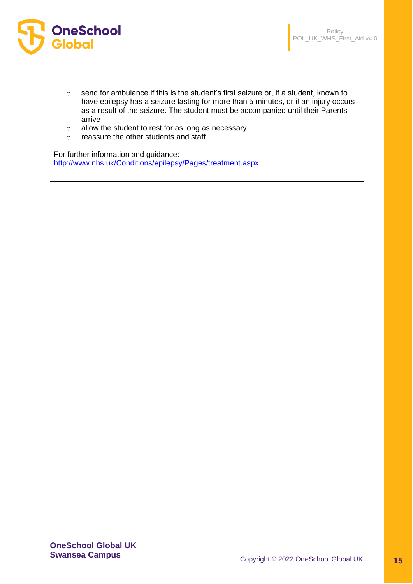

- o send for ambulance if this is the student's first seizure or, if a student, known to have epilepsy has a seizure lasting for more than 5 minutes, or if an injury occurs as a result of the seizure. The student must be accompanied until their Parents arrive
- o allow the student to rest for as long as necessary
- o reassure the other students and staff

For further information and guidance: <http://www.nhs.uk/Conditions/epilepsy/Pages/treatment.aspx>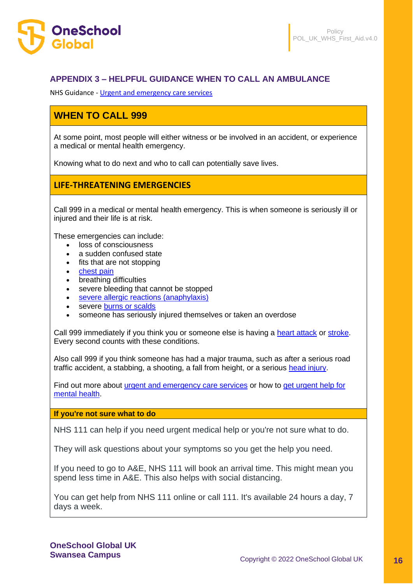

# **APPENDIX 3 – HELPFUL GUIDANCE WHEN TO CALL AN AMBULANCE**

NHS Guidance - [Urgent and emergency care services](https://www.nhs.uk/nhs-services/urgent-and-emergency-care-services/)

# **WHEN TO CALL 999**

At some point, most people will either witness or be involved in an accident, or experience a medical or mental health emergency.

Knowing what to do next and who to call can potentially save lives.

# **LIFE-THREATENING EMERGENCIES**

Call 999 in a medical or mental health emergency. This is when someone is seriously ill or injured and their life is at risk.

These emergencies can include:

- loss of consciousness
- a sudden confused state
- fits that are not stopping
- [chest pain](https://www.nhs.uk/conditions/chest-pain/)
- breathing difficulties
- severe bleeding that cannot be stopped
- [severe allergic reactions \(anaphylaxis\)](https://www.nhs.uk/conditions/anaphylaxis/)
- severe [burns or scalds](https://www.nhs.uk/conditions/burns-and-scalds/)
- someone has seriously injured themselves or taken an overdose

Call 999 immediately if you think you or someone else is having a [heart attack](https://www.nhs.uk/conditions/heart-attack/) or [stroke.](https://www.nhs.uk/conditions/stroke/) Every second counts with these conditions.

Also call 999 if you think someone has had a major trauma, such as after a serious road traffic accident, a stabbing, a shooting, a fall from height, or a serious [head injury.](https://www.nhs.uk/conditions/head-injury-and-concussion/)

Find out more about [urgent and emergency care services](https://www.nhs.uk/nhs-services/urgent-and-emergency-care-services/) or how to [get urgent help for](https://www.nhs.uk/nhs-services/mental-health-services/get-urgent-help-for-mental-health/)  [mental health.](https://www.nhs.uk/nhs-services/mental-health-services/get-urgent-help-for-mental-health/)

**If you're not sure what to do**

NHS 111 can help if you need urgent medical help or you're not sure what to do.

They will ask questions about your symptoms so you get the help you need.

If you need to go to A&E, NHS 111 will book an arrival time. This might mean you spend less time in A&E. This also helps with social distancing.

You can get help from NHS 111 online or call 111. It's available 24 hours a day, 7 days a week.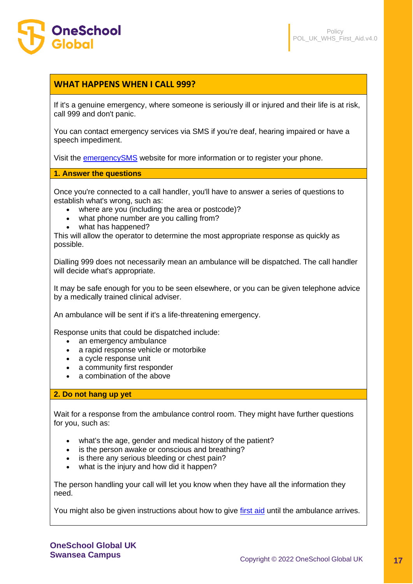

# **WHAT HAPPENS WHEN I CALL 999?**

If it's a genuine emergency, where someone is seriously ill or injured and their life is at risk, call 999 and don't panic.

You can contact emergency services via SMS if you're deaf, hearing impaired or have a speech impediment.

Visit the [emergencySMS](https://www.emergencysms.net/) website for more information or to register your phone.

**1. Answer the questions**

Once you're connected to a call handler, you'll have to answer a series of questions to establish what's wrong, such as:

- where are you (including the area or postcode)?
- what phone number are you calling from?
- what has happened?

This will allow the operator to determine the most appropriate response as quickly as possible.

Dialling 999 does not necessarily mean an ambulance will be dispatched. The call handler will decide what's appropriate.

It may be safe enough for you to be seen elsewhere, or you can be given telephone advice by a medically trained clinical adviser.

An ambulance will be sent if it's a life-threatening emergency.

Response units that could be dispatched include:

- an emergency ambulance
- a rapid response vehicle or motorbike
- a cycle response unit
- a community first responder
- a combination of the above

### **2. Do not hang up yet**

Wait for a response from the ambulance control room. They might have further questions for you, such as:

- what's the age, gender and medical history of the patient?
- is the person awake or conscious and breathing?
- is there any serious bleeding or chest pain?
- what is the injury and how did it happen?

The person handling your call will let you know when they have all the information they need.

You might also be given instructions about how to give [first aid](https://www.nhs.uk/conditions/first-aid/) until the ambulance arrives.